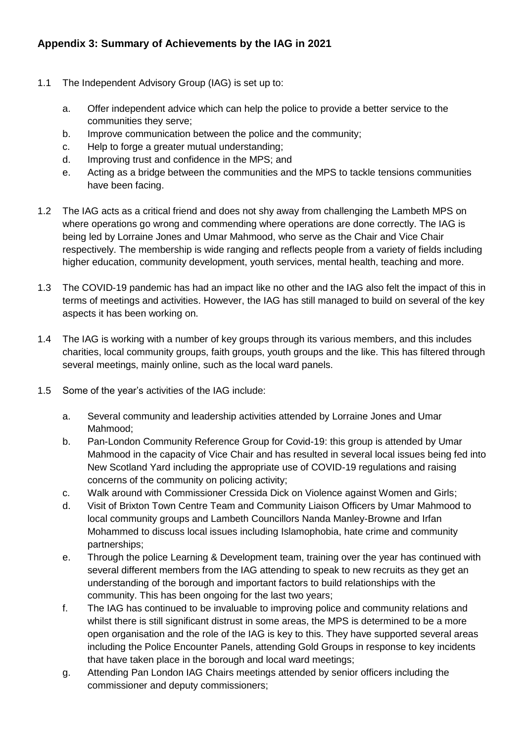- 1.1 The Independent Advisory Group (IAG) is set up to:
	- a. Offer independent advice which can help the police to provide a better service to the communities they serve;
	- b. Improve communication between the police and the community;
	- c. Help to forge a greater mutual understanding;
	- d. Improving trust and confidence in the MPS; and
	- e. Acting as a bridge between the communities and the MPS to tackle tensions communities have been facing.
- 1.2 The IAG acts as a critical friend and does not shy away from challenging the Lambeth MPS on where operations go wrong and commending where operations are done correctly. The IAG is being led by Lorraine Jones and Umar Mahmood, who serve as the Chair and Vice Chair respectively. The membership is wide ranging and reflects people from a variety of fields including higher education, community development, youth services, mental health, teaching and more.
- 1.3 The COVID-19 pandemic has had an impact like no other and the IAG also felt the impact of this in terms of meetings and activities. However, the IAG has still managed to build on several of the key aspects it has been working on.
- 1.4 The IAG is working with a number of key groups through its various members, and this includes charities, local community groups, faith groups, youth groups and the like. This has filtered through several meetings, mainly online, such as the local ward panels.
- 1.5 Some of the year's activities of the IAG include:
	- a. Several community and leadership activities attended by Lorraine Jones and Umar Mahmood;
	- b. Pan-London Community Reference Group for Covid-19: this group is attended by Umar Mahmood in the capacity of Vice Chair and has resulted in several local issues being fed into New Scotland Yard including the appropriate use of COVID-19 regulations and raising concerns of the community on policing activity;
	- c. Walk around with Commissioner Cressida Dick on Violence against Women and Girls;
	- d. Visit of Brixton Town Centre Team and Community Liaison Officers by Umar Mahmood to local community groups and Lambeth Councillors Nanda Manley-Browne and Irfan Mohammed to discuss local issues including Islamophobia, hate crime and community partnerships;
	- e. Through the police Learning & Development team, training over the year has continued with several different members from the IAG attending to speak to new recruits as they get an understanding of the borough and important factors to build relationships with the community. This has been ongoing for the last two years;
	- f. The IAG has continued to be invaluable to improving police and community relations and whilst there is still significant distrust in some areas, the MPS is determined to be a more open organisation and the role of the IAG is key to this. They have supported several areas including the Police Encounter Panels, attending Gold Groups in response to key incidents that have taken place in the borough and local ward meetings;
	- g. Attending Pan London IAG Chairs meetings attended by senior officers including the commissioner and deputy commissioners;